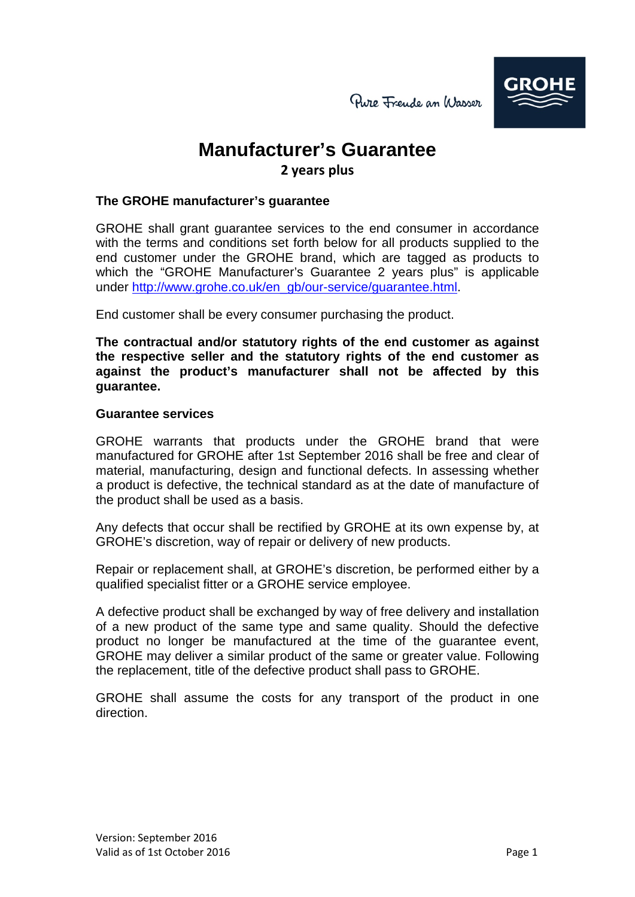# **Manufacturer's Guarantee 2 years plus**

## **The GROHE manufacturer's guarantee**

GROHE shall grant guarantee services to the end consumer in accordance with the terms and conditions set forth below for all products supplied to the end customer under the GROHE brand, which are tagged as products to which the "GROHE Manufacturer's Guarantee 2 years plus" is applicable under [http://www.grohe.co.uk/en\\_gb/our-service/guarantee.html.](http://www.grohe.co.uk/en_gb/our-service/guarantee.html)

End customer shall be every consumer purchasing the product.

**The contractual and/or statutory rights of the end customer as against the respective seller and the statutory rights of the end customer as against the product's manufacturer shall not be affected by this guarantee.**

#### **Guarantee services**

GROHE warrants that products under the GROHE brand that were manufactured for GROHE after 1st September 2016 shall be free and clear of material, manufacturing, design and functional defects. In assessing whether a product is defective, the technical standard as at the date of manufacture of the product shall be used as a basis.

Any defects that occur shall be rectified by GROHE at its own expense by, at GROHE's discretion, way of repair or delivery of new products.

Repair or replacement shall, at GROHE's discretion, be performed either by a qualified specialist fitter or a GROHE service employee.

A defective product shall be exchanged by way of free delivery and installation of a new product of the same type and same quality. Should the defective product no longer be manufactured at the time of the guarantee event, GROHE may deliver a similar product of the same or greater value. Following the replacement, title of the defective product shall pass to GROHE.

GROHE shall assume the costs for any transport of the product in one direction.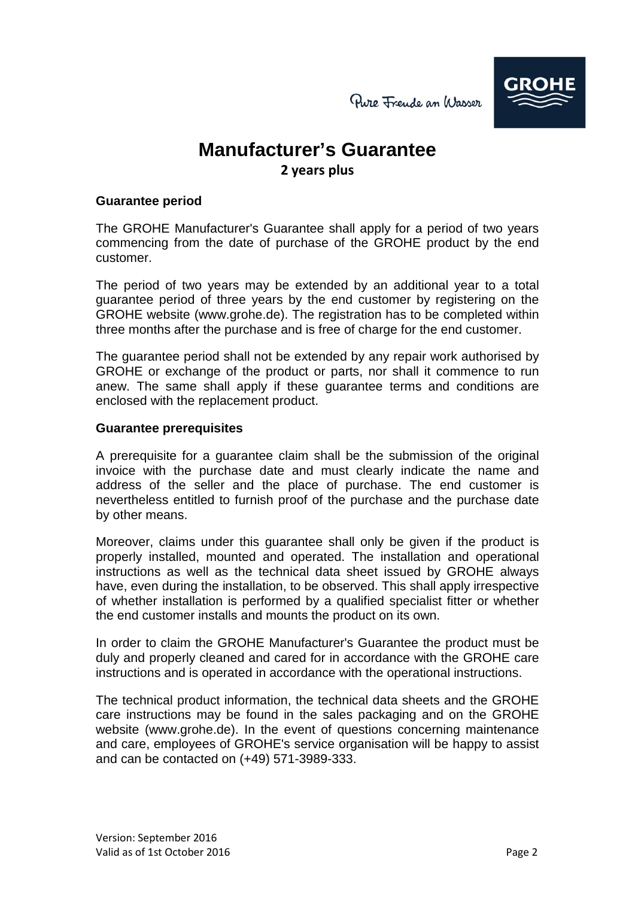

## **Manufacturer's Guarantee 2 years plus**

#### **Guarantee period**

The GROHE Manufacturer's Guarantee shall apply for a period of two years commencing from the date of purchase of the GROHE product by the end customer.

The period of two years may be extended by an additional year to a total guarantee period of three years by the end customer by registering on the GROHE website (www.grohe.de). The registration has to be completed within three months after the purchase and is free of charge for the end customer.

The guarantee period shall not be extended by any repair work authorised by GROHE or exchange of the product or parts, nor shall it commence to run anew. The same shall apply if these guarantee terms and conditions are enclosed with the replacement product.

#### **Guarantee prerequisites**

A prerequisite for a guarantee claim shall be the submission of the original invoice with the purchase date and must clearly indicate the name and address of the seller and the place of purchase. The end customer is nevertheless entitled to furnish proof of the purchase and the purchase date by other means.

Moreover, claims under this guarantee shall only be given if the product is properly installed, mounted and operated. The installation and operational instructions as well as the technical data sheet issued by GROHE always have, even during the installation, to be observed. This shall apply irrespective of whether installation is performed by a qualified specialist fitter or whether the end customer installs and mounts the product on its own.

In order to claim the GROHE Manufacturer's Guarantee the product must be duly and properly cleaned and cared for in accordance with the GROHE care instructions and is operated in accordance with the operational instructions.

The technical product information, the technical data sheets and the GROHE care instructions may be found in the sales packaging and on the GROHE website (www.grohe.de). In the event of questions concerning maintenance and care, employees of GROHE's service organisation will be happy to assist and can be contacted on (+49) 571-3989-333.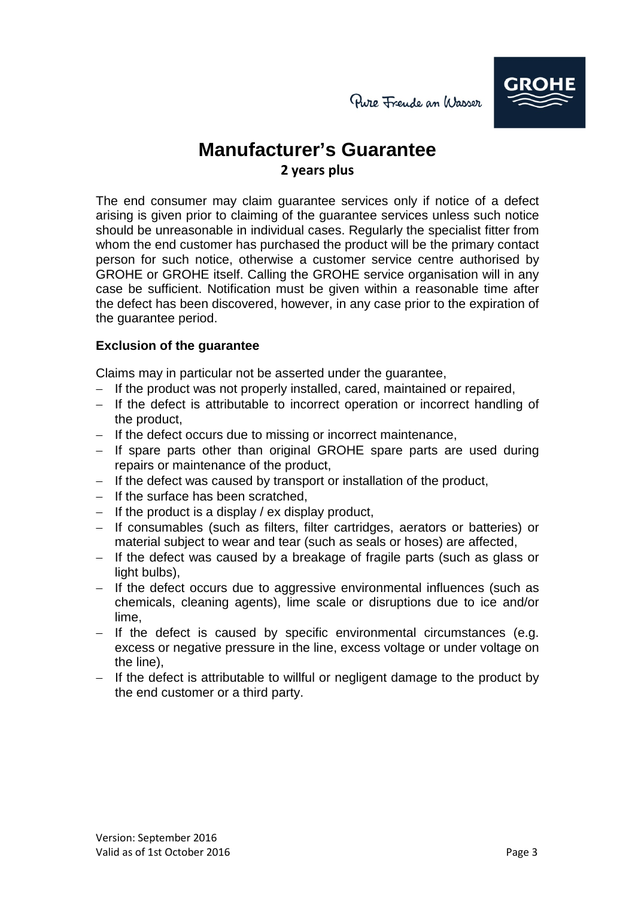

# **Manufacturer's Guarantee 2 years plus**

The end consumer may claim guarantee services only if notice of a defect arising is given prior to claiming of the guarantee services unless such notice should be unreasonable in individual cases. Regularly the specialist fitter from whom the end customer has purchased the product will be the primary contact person for such notice, otherwise a customer service centre authorised by GROHE or GROHE itself. Calling the GROHE service organisation will in any case be sufficient. Notification must be given within a reasonable time after the defect has been discovered, however, in any case prior to the expiration of the guarantee period.

## **Exclusion of the guarantee**

Claims may in particular not be asserted under the guarantee,

- − If the product was not properly installed, cared, maintained or repaired,
- − If the defect is attributable to incorrect operation or incorrect handling of the product,
- − If the defect occurs due to missing or incorrect maintenance,
- − If spare parts other than original GROHE spare parts are used during repairs or maintenance of the product,
- − If the defect was caused by transport or installation of the product,
- − If the surface has been scratched,
- − If the product is a display / ex display product,
- − If consumables (such as filters, filter cartridges, aerators or batteries) or material subject to wear and tear (such as seals or hoses) are affected,
- − If the defect was caused by a breakage of fragile parts (such as glass or light bulbs),
- − If the defect occurs due to aggressive environmental influences (such as chemicals, cleaning agents), lime scale or disruptions due to ice and/or lime,
- − If the defect is caused by specific environmental circumstances (e.g. excess or negative pressure in the line, excess voltage or under voltage on the line),
- − If the defect is attributable to willful or negligent damage to the product by the end customer or a third party.